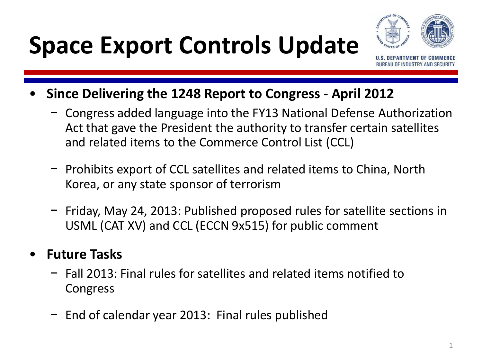### **Space Export Controls Update**



- **Since Delivering the 1248 Report to Congress - April 2012**
	- − Congress added language into the FY13 National Defense Authorization Act that gave the President the authority to transfer certain satellites and related items to the Commerce Control List (CCL)
	- − Prohibits export of CCL satellites and related items to China, North Korea, or any state sponsor of terrorism
	- − Friday, May 24, 2013: Published proposed rules for satellite sections in USML (CAT XV) and CCL (ECCN 9x515) for public comment
- **Future Tasks**
	- − Fall 2013: Final rules for satellites and related items notified to Congress
	- − End of calendar year 2013: Final rules published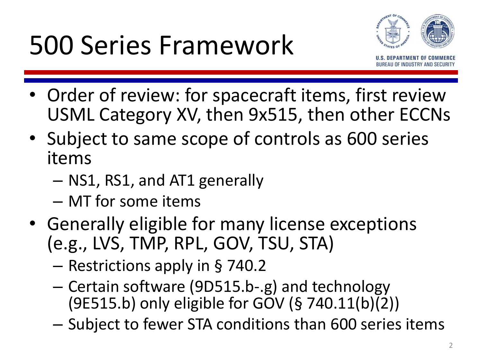## 500 Series Framework



- Order of review: for spacecraft items, first review USML Category XV, then 9x515, then other ECCNs
- Subject to same scope of controls as 600 series items
	- NS1, RS1, and AT1 generally
	- MT for some items
- Generally eligible for many license exceptions (e.g., LVS, TMP, RPL, GOV, TSU, STA)
	- Restrictions apply in § 740.2
	- Certain software (9D515.b-.g) and technology (9E515.b) only eligible for GOV (§ 740.11(b)(2))
	- Subject to fewer STA conditions than 600 series items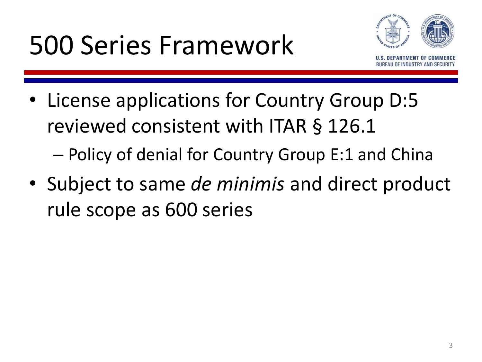## 500 Series Framework



- License applications for Country Group D:5 reviewed consistent with ITAR § 126.1 – Policy of denial for Country Group E:1 and China
- Subject to same *de minimis* and direct product rule scope as 600 series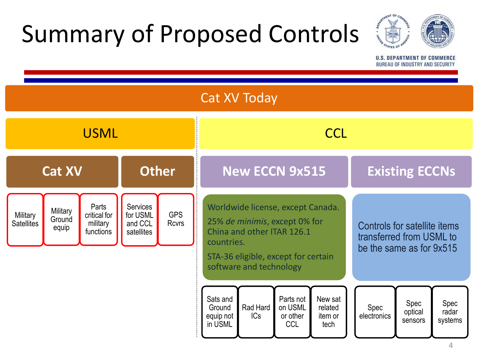### Summary of Proposed Controls



**U.S. DEPARTMENT OF COMMERCE** BUREAU OF INDUSTRY AND SECURITY

| <b>Cat XV Today</b>           |                             |                                                |                                               |                            |                                                                                                                                                                                  |                 |                                                |                                                                                      |                     |                            |                          |
|-------------------------------|-----------------------------|------------------------------------------------|-----------------------------------------------|----------------------------|----------------------------------------------------------------------------------------------------------------------------------------------------------------------------------|-----------------|------------------------------------------------|--------------------------------------------------------------------------------------|---------------------|----------------------------|--------------------------|
| <b>USML</b>                   |                             |                                                |                                               |                            | <b>CCL</b>                                                                                                                                                                       |                 |                                                |                                                                                      |                     |                            |                          |
| <b>Cat XV</b>                 |                             |                                                | <b>Other</b>                                  |                            | <b>New ECCN 9x515</b>                                                                                                                                                            |                 |                                                | <b>Existing ECCNs</b>                                                                |                     |                            |                          |
| Military<br><b>Satellites</b> | Military<br>Ground<br>equip | Parts<br>critical for<br>military<br>functions | Services<br>for USML<br>and CCL<br>satellites | <b>GPS</b><br><b>Rcvrs</b> | Worldwide license, except Canada.<br>25% de minimis, except 0% for<br>China and other ITAR 126.1<br>countries.<br>STA-36 eligible, except for certain<br>software and technology |                 |                                                | Controls for satellite items<br>transferred from USML to<br>be the same as for 9x515 |                     |                            |                          |
|                               |                             |                                                |                                               |                            | Sats and<br>Ground<br>equip not<br>in USML                                                                                                                                       | Rad Hard<br>ICs | Parts not<br>on USML<br>or other<br><b>CCL</b> | New sat<br>related<br>item or<br>tech                                                | Spec<br>electronics | Spec<br>optical<br>sensors | Spec<br>radar<br>systems |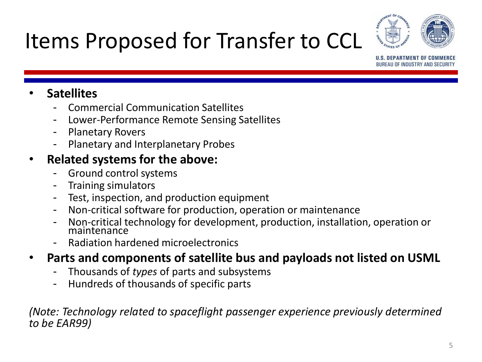



**U.S. DEPARTMENT OF COMM BUREAU OF INDUSTRY AND SECU** 

#### • **Satellites**

- Commercial Communication Satellites
- Lower-Performance Remote Sensing Satellites
- Planetary Rovers
- Planetary and Interplanetary Probes

#### • **Related systems for the above:**

- Ground control systems
- Training simulators
- Test, inspection, and production equipment
- Non-critical software for production, operation or maintenance
- Non-critical technology for development, production, installation, operation or maintenance
- Radiation hardened microelectronics
- **Parts and components of satellite bus and payloads not listed on USML**
	- Thousands of *types* of parts and subsystems
	- Hundreds of thousands of specific parts

*(Note: Technology related to spaceflight passenger experience previously determined to be EAR99)*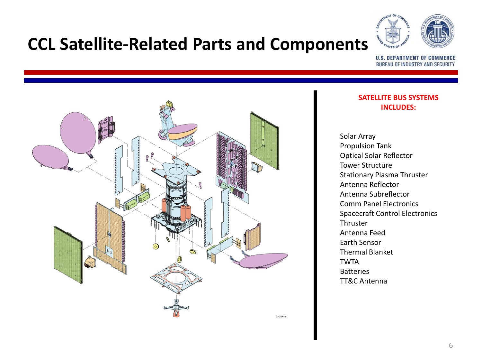

#### **CCL Satellite-Related Parts and Components**

**U.S. DEPARTMENT OF COMMERCE** BUREAU OF INDUSTRY AND SECURITY



#### **SATELLITE BUS SYSTEMS INCLUDES:**

Solar Array Propulsion Tank Optical Solar Reflector Tower Structure Stationary Plasma Thruster Antenna Reflector Antenna Subreflector Comm Panel Electronics Spacecraft Control Electronics Thruster Antenna Feed Earth Sensor Thermal Blanket TWTA Batteries TT&C Antenna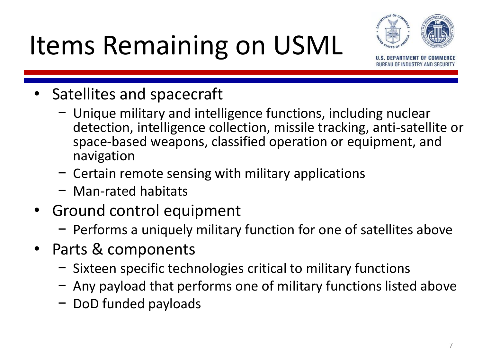# Items Remaining on USML



**UF INDUSTRY AND SE** 

- Satellites and spacecraft
	- − Unique military and intelligence functions, including nuclear detection, intelligence collection, missile tracking, anti-satellite or space-based weapons, classified operation or equipment, and navigation
	- − Certain remote sensing with military applications
	- − Man-rated habitats
- Ground control equipment
	- − Performs a uniquely military function for one of satellites above
- Parts & components
	- − Sixteen specific technologies critical to military functions
	- − Any payload that performs one of military functions listed above
	- − DoD funded payloads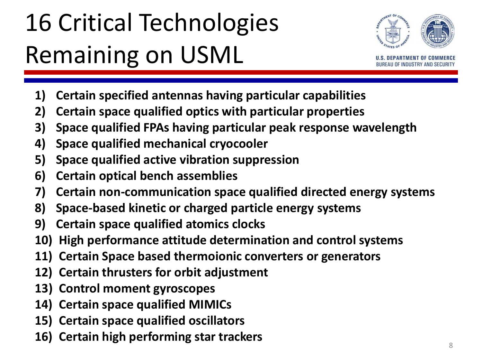# 16 Critical Technologies Remaining on USML



- **1) Certain specified antennas having particular capabilities**
- **2) Certain space qualified optics with particular properties**
- **3) Space qualified FPAs having particular peak response wavelength**
- **4) Space qualified mechanical cryocooler**
- **5) Space qualified active vibration suppression**
- **6) Certain optical bench assemblies**
- **7) Certain non-communication space qualified directed energy systems**
- **8) Space-based kinetic or charged particle energy systems**
- **9) Certain space qualified atomics clocks**
- **10) High performance attitude determination and control systems**
- **11) Certain Space based thermoionic converters or generators**
- **12) Certain thrusters for orbit adjustment**
- **13) Control moment gyroscopes**
- **14) Certain space qualified MIMICs**
- **15) Certain space qualified oscillators**
- **16) Certain high performing star trackers**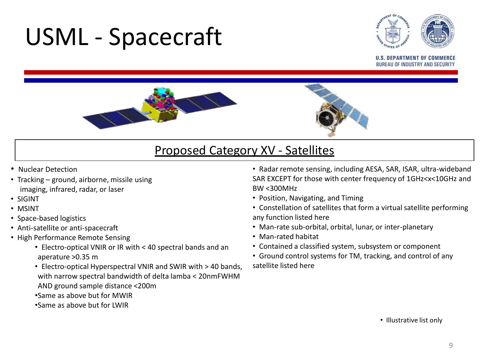### USML - Spacecraft



**U.S. DEPARTMENT OF COMMEI BUREAU OF INDUSTRY AND SECUR** 



#### Proposed Category XV - Satellites

- Nuclear Detection
- Tracking ground, airborne, missile using imaging, infrared, radar, or laser
- SIGINT
- MSINT
- Space-based logistics
- Anti-satellite or anti-spacecraft
- High Performance Remote Sensing
	- Electro-optical VNIR or IR with < 40 spectral bands and an aperature >0.35 m
	- Electro-optical Hyperspectral VNIR and SWIR with > 40 bands, with narrow spectral bandwidth of delta lamba < 20nmFWHM AND ground sample distance <200m •Same as above but for MWIR •Same as above but for LWIR
- Radar remote sensing, including AESA, SAR, ISAR, ultra-wideband SAR EXCEPT for those with center frequency of 1GHz<x<10GHz and BW <300MHz
- Position, Navigating, and Timing
- Constellation of satellites that form a virtual satellite performing any function listed here
- Man-rate sub-orbital, orbital, lunar, or inter-planetary
- Man-rated habitat
- Contained a classified system, subsystem or component
- Ground control systems for TM, tracking, and control of any satellite listed here

• Illustrative list only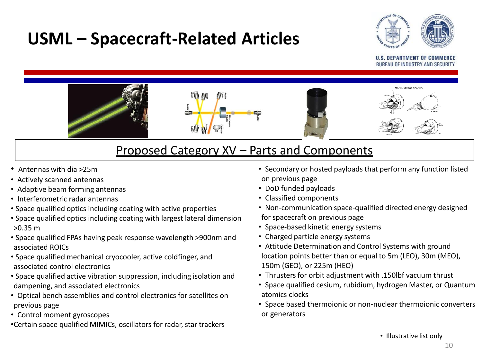### **USML – Spacecraft-Related Articles**



#### **U.S. DEPARTMENT OF COM BUREAU OF INDUSTRY AND SECUI**



#### Proposed Category XV – Parts and Components

- Antennas with dia >25m
- Actively scanned antennas
- Adaptive beam forming antennas
- Interferometric radar antennas
- Space qualified optics including coating with active properties
- Space qualified optics including coating with largest lateral dimension >0.35 m
- Space qualified FPAs having peak response wavelength >900nm and associated ROICs
- Space qualified mechanical cryocooler, active coldfinger, and associated control electronics
- Space qualified active vibration suppression, including isolation and dampening, and associated electronics
- Optical bench assemblies and control electronics for satellites on previous page
- Control moment gyroscopes

•Certain space qualified MIMICs, oscillators for radar, star trackers

- Secondary or hosted payloads that perform any function listed on previous page
- DoD funded payloads
- Classified components
- Non-communication space-qualified directed energy designed for spacecraft on previous page
- Space-based kinetic energy systems
- Charged particle energy systems
- Attitude Determination and Control Systems with ground location points better than or equal to 5m (LEO), 30m (MEO), 150m (GEO), or 225m (HEO)
- Thrusters for orbit adjustment with .150lbf vacuum thrust
- Space qualified cesium, rubidium, hydrogen Master, or Quantum atomics clocks
- Space based thermoionic or non-nuclear thermoionic converters or generators

• Illustrative list only